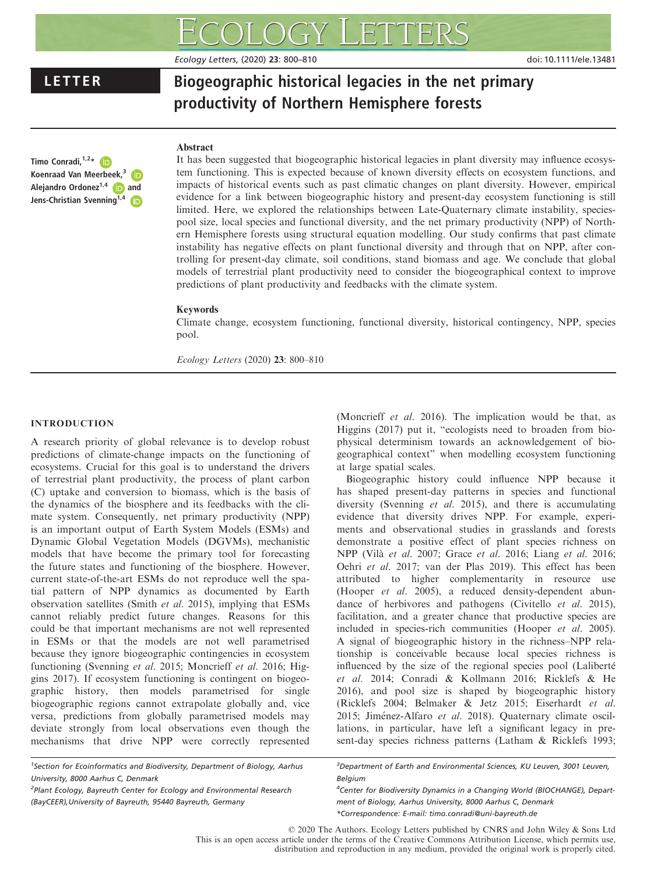# I OGY LETTEI

Ecology Letters, (2020) 23: 800–810 doi: 10.1111/ele.13481

Koenraad Van Meerbeek,<sup>[3](https://orcid.org/0000-0002-9260-3815)</sup> Alejandro Ordonez<sup>1,[4](https://orcid.org/0000-0003-2873-4551)</sup>  $\Box$  and Jens-Christian Svenning<sup>1,4</sup>

## LETTER Biogeographic historical legacies in the net primary productivity of Northern Hemisphere forests

## Timo Conradi,  $1,2*$  $1,2*$

It has been suggested that biogeographic historical legacies in plant diversity may influence ecosystem functioning. This is expected because of known diversity effects on ecosystem functions, and impacts of historical events such as past climatic changes on plant diversity. However, empirical evidence for a link between biogeographic history and present-day ecosystem functioning is still limited. Here, we explored the relationships between Late-Quaternary climate instability, speciespool size, local species and functional diversity, and the net primary productivity (NPP) of Northern Hemisphere forests using structural equation modelling. Our study confirms that past climate instability has negative effects on plant functional diversity and through that on NPP, after controlling for present-day climate, soil conditions, stand biomass and age. We conclude that global models of terrestrial plant productivity need to consider the biogeographical context to improve predictions of plant productivity and feedbacks with the climate system.

### Keywords

Abstract

Climate change, ecosystem functioning, functional diversity, historical contingency, NPP, species pool.

Ecology Letters (2020) 23: 800–810

### INTRODUCTION

A research priority of global relevance is to develop robust predictions of climate-change impacts on the functioning of ecosystems. Crucial for this goal is to understand the drivers of terrestrial plant productivity, the process of plant carbon (C) uptake and conversion to biomass, which is the basis of the dynamics of the biosphere and its feedbacks with the climate system. Consequently, net primary productivity (NPP) is an important output of Earth System Models (ESMs) and Dynamic Global Vegetation Models (DGVMs), mechanistic models that have become the primary tool for forecasting the future states and functioning of the biosphere. However, current state-of-the-art ESMs do not reproduce well the spatial pattern of NPP dynamics as documented by Earth observation satellites (Smith et al. 2015), implying that ESMs cannot reliably predict future changes. Reasons for this could be that important mechanisms are not well represented in ESMs or that the models are not well parametrised because they ignore biogeographic contingencies in ecosystem functioning (Svenning et al. 2015; Moncrieff et al. 2016; Higgins 2017). If ecosystem functioning is contingent on biogeographic history, then models parametrised for single biogeographic regions cannot extrapolate globally and, vice versa, predictions from globally parametrised models may deviate strongly from local observations even though the mechanisms that drive NPP were correctly represented

(Moncrieff et al. 2016). The implication would be that, as Higgins (2017) put it, "ecologists need to broaden from biophysical determinism towards an acknowledgement of biogeographical context" when modelling ecosystem functioning at large spatial scales.

Biogeographic history could influence NPP because it has shaped present-day patterns in species and functional diversity (Svenning *et al.* 2015), and there is accumulating evidence that diversity drives NPP. For example, experiments and observational studies in grasslands and forests demonstrate a positive effect of plant species richness on NPP (Vila et al. 2007; Grace et al. 2016; Liang et al. 2016; Oehri et al. 2017; van der Plas 2019). This effect has been attributed to higher complementarity in resource use (Hooper et al. 2005), a reduced density-dependent abundance of herbivores and pathogens (Civitello et al. 2015), facilitation, and a greater chance that productive species are included in species-rich communities (Hooper et al. 2005). A signal of biogeographic history in the richness–NPP relationship is conceivable because local species richness is influenced by the size of the regional species pool (Laliberté et al. 2014; Conradi & Kollmann 2016; Ricklefs & He 2016), and pool size is shaped by biogeographic history (Ricklefs 2004; Belmaker & Jetz 2015; Eiserhardt et al. 2015; Jiménez-Alfaro et al. 2018). Quaternary climate oscillations, in particular, have left a significant legacy in present-day species richness patterns (Latham & Ricklefs 1993;

<sup>1</sup>Section for Ecoinformatics and Biodiversity, Department of Biology, Aarhus University, 8000 Aarhus C, Denmark Belgium

<sup>2</sup> Plant Ecology, Bayreuth Center for Ecology and Environmental Research (BayCEER),University of Bayreuth, 95440 Bayreuth, Germany

<sup>3</sup>Department of Earth and Environmental Sciences, KU Leuven, 3001 Leuven,

<sup>4</sup>Center for Biodiversity Dynamics in a Changing World (BIOCHANGE), Department of Biology, Aarhus University, 8000 Aarhus C, Denmark \*Correspondence: E-mail: [timo.conradi@uni-bayreuth.de](mailto:)

© 2020 The Authors. Ecology Letters published by CNRS and John Wiley & Sons Ltd This is an open access article under the terms of the [Creative Commons Attribution](http://creativecommons.org/licenses/by/4.0/) License, which permits use, distribution and reproduction in any medium, provided the original work is properly cited.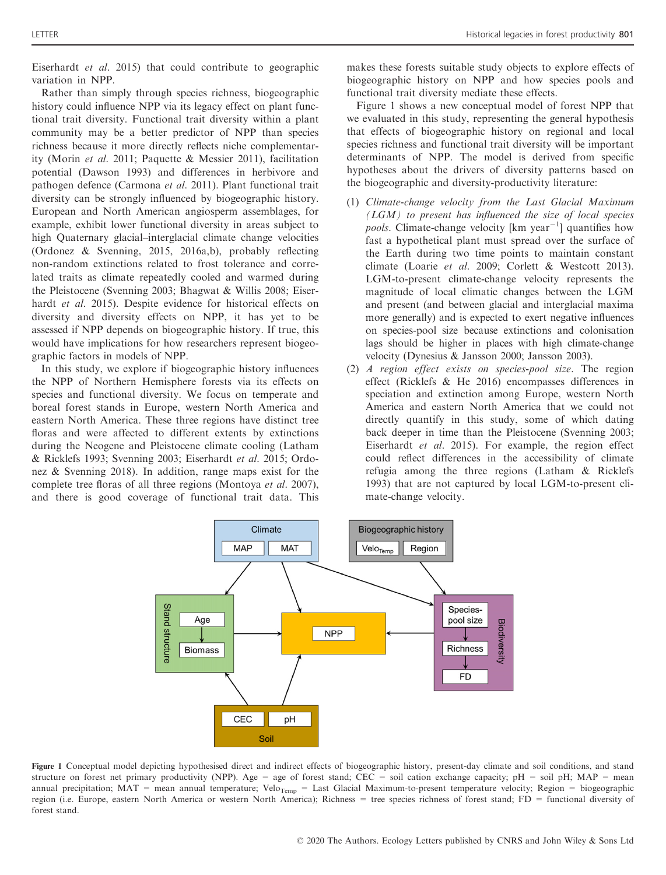Eiserhardt et al. 2015) that could contribute to geographic variation in NPP.

Rather than simply through species richness, biogeographic history could influence NPP via its legacy effect on plant functional trait diversity. Functional trait diversity within a plant community may be a better predictor of NPP than species richness because it more directly reflects niche complementarity (Morin et al. 2011; Paquette & Messier 2011), facilitation potential (Dawson 1993) and differences in herbivore and pathogen defence (Carmona et al. 2011). Plant functional trait diversity can be strongly influenced by biogeographic history. European and North American angiosperm assemblages, for example, exhibit lower functional diversity in areas subject to high Quaternary glacial–interglacial climate change velocities (Ordonez & Svenning, 2015, 2016a,b), probably reflecting non-random extinctions related to frost tolerance and correlated traits as climate repeatedly cooled and warmed during the Pleistocene (Svenning 2003; Bhagwat & Willis 2008; Eiserhardt et al. 2015). Despite evidence for historical effects on diversity and diversity effects on NPP, it has yet to be assessed if NPP depends on biogeographic history. If true, this would have implications for how researchers represent biogeographic factors in models of NPP.

In this study, we explore if biogeographic history influences the NPP of Northern Hemisphere forests via its effects on species and functional diversity. We focus on temperate and boreal forest stands in Europe, western North America and eastern North America. These three regions have distinct tree floras and were affected to different extents by extinctions during the Neogene and Pleistocene climate cooling (Latham & Ricklefs 1993; Svenning 2003; Eiserhardt et al. 2015; Ordonez & Svenning 2018). In addition, range maps exist for the complete tree floras of all three regions (Montoya et al. 2007), and there is good coverage of functional trait data. This

makes these forests suitable study objects to explore effects of biogeographic history on NPP and how species pools and functional trait diversity mediate these effects.

Figure 1 shows a new conceptual model of forest NPP that we evaluated in this study, representing the general hypothesis that effects of biogeographic history on regional and local species richness and functional trait diversity will be important determinants of NPP. The model is derived from specific hypotheses about the drivers of diversity patterns based on the biogeographic and diversity-productivity literature:

- (1) Climate-change velocity from the Last Glacial Maximum (LGM) to present has influenced the size of local species *pools*. Climate-change velocity [km year<sup>-1</sup>] quantifies how fast a hypothetical plant must spread over the surface of the Earth during two time points to maintain constant climate (Loarie et al. 2009; Corlett & Westcott 2013). LGM-to-present climate-change velocity represents the magnitude of local climatic changes between the LGM and present (and between glacial and interglacial maxima more generally) and is expected to exert negative influences on species-pool size because extinctions and colonisation lags should be higher in places with high climate-change velocity (Dynesius & Jansson 2000; Jansson 2003).
- (2) A region effect exists on species-pool size. The region effect (Ricklefs & He 2016) encompasses differences in speciation and extinction among Europe, western North America and eastern North America that we could not directly quantify in this study, some of which dating back deeper in time than the Pleistocene (Svenning 2003; Eiserhardt et al. 2015). For example, the region effect could reflect differences in the accessibility of climate refugia among the three regions (Latham & Ricklefs 1993) that are not captured by local LGM-to-present climate-change velocity.



Figure 1 Conceptual model depicting hypothesised direct and indirect effects of biogeographic history, present-day climate and soil conditions, and stand structure on forest net primary productivity (NPP). Age = age of forest stand; CEC = soil cation exchange capacity;  $pH = \text{soil } pH$ ; MAP = mean annual precipitation;  $MAT$  = mean annual temperature;  $Velo_{Temp}$  = Last Glacial Maximum-to-present temperature velocity; Region = biogeographic region (i.e. Europe, eastern North America or western North America); Richness = tree species richness of forest stand; FD = functional diversity of forest stand.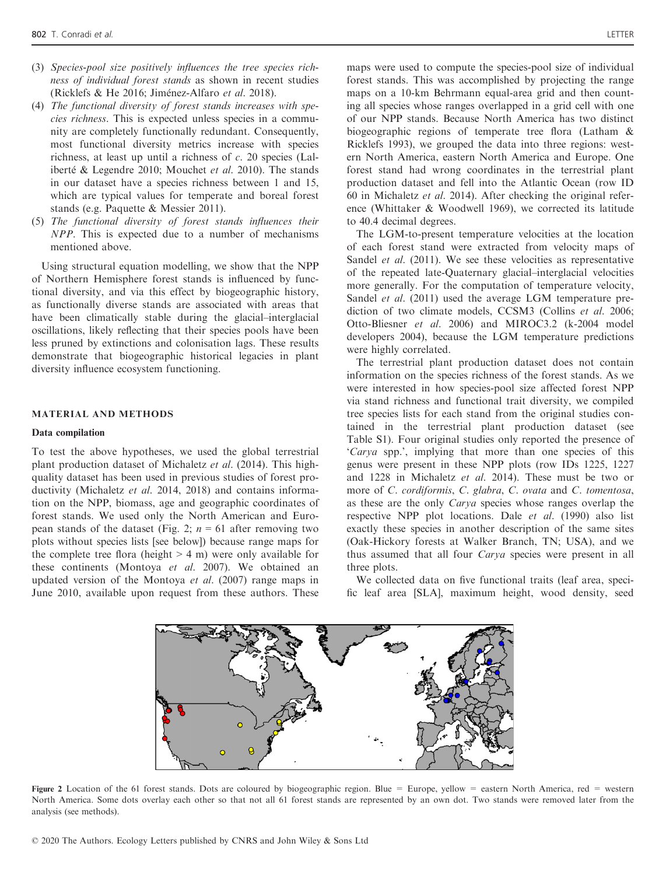- (3) Species-pool size positively influences the tree species richness of individual forest stands as shown in recent studies (Ricklefs & He 2016; Jimenez-Alfaro et al. 2018).
- (4) The functional diversity of forest stands increases with species richness. This is expected unless species in a community are completely functionally redundant. Consequently, most functional diversity metrics increase with species richness, at least up until a richness of  $c$ . 20 species (Laliberté & Legendre 2010; Mouchet et al. 2010). The stands in our dataset have a species richness between 1 and 15, which are typical values for temperate and boreal forest stands (e.g. Paquette & Messier 2011).
- (5) The functional diversity of forest stands influences their NPP. This is expected due to a number of mechanisms mentioned above.

Using structural equation modelling, we show that the NPP of Northern Hemisphere forest stands is influenced by functional diversity, and via this effect by biogeographic history, as functionally diverse stands are associated with areas that have been climatically stable during the glacial–interglacial oscillations, likely reflecting that their species pools have been less pruned by extinctions and colonisation lags. These results demonstrate that biogeographic historical legacies in plant diversity influence ecosystem functioning.

#### MATERIAL AND METHODS

#### Data compilation

To test the above hypotheses, we used the global terrestrial plant production dataset of Michaletz et al. (2014). This highquality dataset has been used in previous studies of forest productivity (Michaletz et al. 2014, 2018) and contains information on the NPP, biomass, age and geographic coordinates of forest stands. We used only the North American and European stands of the dataset (Fig. 2;  $n = 61$  after removing two plots without species lists [see below]) because range maps for the complete tree flora (height  $> 4$  m) were only available for these continents (Montoya et al. 2007). We obtained an updated version of the Montoya et al. (2007) range maps in June 2010, available upon request from these authors. These

maps were used to compute the species-pool size of individual forest stands. This was accomplished by projecting the range maps on a 10-km Behrmann equal-area grid and then counting all species whose ranges overlapped in a grid cell with one of our NPP stands. Because North America has two distinct biogeographic regions of temperate tree flora (Latham & Ricklefs 1993), we grouped the data into three regions: western North America, eastern North America and Europe. One forest stand had wrong coordinates in the terrestrial plant production dataset and fell into the Atlantic Ocean (row ID 60 in Michaletz et al. 2014). After checking the original reference (Whittaker & Woodwell 1969), we corrected its latitude to 40.4 decimal degrees.

The LGM-to-present temperature velocities at the location of each forest stand were extracted from velocity maps of Sandel *et al.* (2011). We see these velocities as representative of the repeated late-Quaternary glacial–interglacial velocities more generally. For the computation of temperature velocity, Sandel *et al.* (2011) used the average LGM temperature prediction of two climate models, CCSM3 (Collins et al. 2006; Otto-Bliesner et al. 2006) and MIROC3.2 (k-2004 model developers 2004), because the LGM temperature predictions were highly correlated.

The terrestrial plant production dataset does not contain information on the species richness of the forest stands. As we were interested in how species-pool size affected forest NPP via stand richness and functional trait diversity, we compiled tree species lists for each stand from the original studies contained in the terrestrial plant production dataset (see Table S1). Four original studies only reported the presence of 'Carya spp.', implying that more than one species of this genus were present in these NPP plots (row IDs 1225, 1227 and 1228 in Michaletz et al. 2014). These must be two or more of C. cordiformis, C. glabra, C. ovata and C. tomentosa, as these are the only Carya species whose ranges overlap the respective NPP plot locations. Dale et al. (1990) also list exactly these species in another description of the same sites (Oak-Hickory forests at Walker Branch, TN; USA), and we thus assumed that all four Carya species were present in all three plots.

We collected data on five functional traits (leaf area, specific leaf area [SLA], maximum height, wood density, seed



Figure 2 Location of the 61 forest stands. Dots are coloured by biogeographic region. Blue = Europe, yellow = eastern North America, red = western North America. Some dots overlay each other so that not all 61 forest stands are represented by an own dot. Two stands were removed later from the analysis (see methods).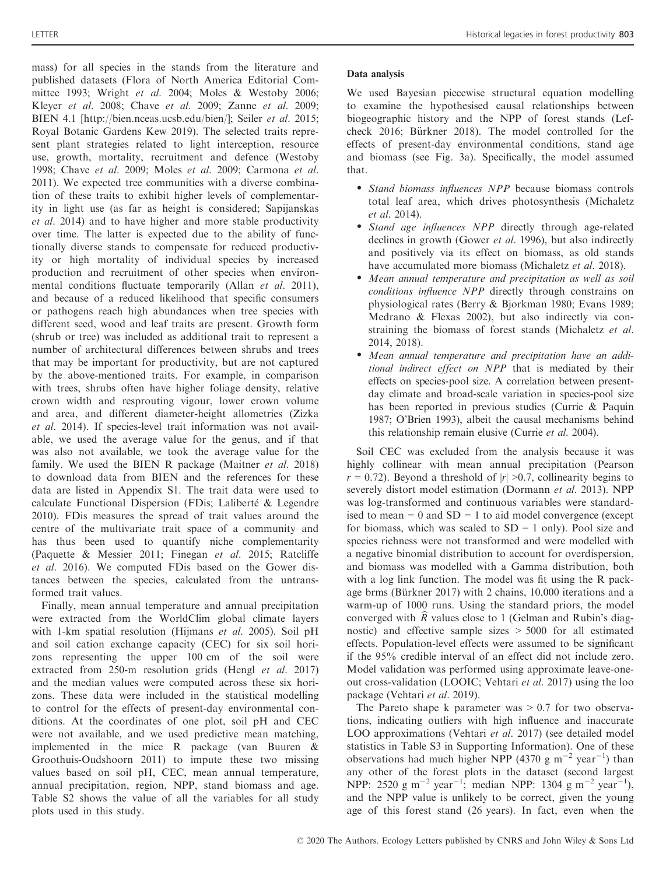mass) for all species in the stands from the literature and published datasets (Flora of North America Editorial Committee 1993; Wright et al. 2004; Moles & Westoby 2006; Kleyer et al. 2008; Chave et al. 2009; Zanne et al. 2009; BIEN 4.1 [<http://bien.nceas.ucsb.edu/bien/>]; Seiler et al. 2015; Royal Botanic Gardens Kew 2019). The selected traits represent plant strategies related to light interception, resource use, growth, mortality, recruitment and defence (Westoby 1998; Chave et al. 2009; Moles et al. 2009; Carmona et al. 2011). We expected tree communities with a diverse combination of these traits to exhibit higher levels of complementarity in light use (as far as height is considered; Sapijanskas et al. 2014) and to have higher and more stable productivity over time. The latter is expected due to the ability of functionally diverse stands to compensate for reduced productivity or high mortality of individual species by increased production and recruitment of other species when environmental conditions fluctuate temporarily (Allan *et al.* 2011), and because of a reduced likelihood that specific consumers or pathogens reach high abundances when tree species with different seed, wood and leaf traits are present. Growth form (shrub or tree) was included as additional trait to represent a number of architectural differences between shrubs and trees that may be important for productivity, but are not captured by the above-mentioned traits. For example, in comparison with trees, shrubs often have higher foliage density, relative crown width and resprouting vigour, lower crown volume and area, and different diameter-height allometries (Zizka et al. 2014). If species-level trait information was not available, we used the average value for the genus, and if that was also not available, we took the average value for the family. We used the BIEN R package (Maitner et al. 2018) to download data from BIEN and the references for these data are listed in Appendix S1. The trait data were used to calculate Functional Dispersion (FDis; Laliberté & Legendre 2010). FDis measures the spread of trait values around the centre of the multivariate trait space of a community and has thus been used to quantify niche complementarity (Paquette & Messier 2011; Finegan et al. 2015; Ratcliffe et al. 2016). We computed FDis based on the Gower distances between the species, calculated from the untransformed trait values.

Finally, mean annual temperature and annual precipitation were extracted from the WorldClim global climate layers with 1-km spatial resolution (Hijmans et al. 2005). Soil pH and soil cation exchange capacity (CEC) for six soil horizons representing the upper 100 cm of the soil were extracted from 250-m resolution grids (Hengl et al. 2017) and the median values were computed across these six horizons. These data were included in the statistical modelling to control for the effects of present-day environmental conditions. At the coordinates of one plot, soil pH and CEC were not available, and we used predictive mean matching, implemented in the mice R package (van Buuren & Groothuis-Oudshoorn 2011) to impute these two missing values based on soil pH, CEC, mean annual temperature, annual precipitation, region, NPP, stand biomass and age. Table S2 shows the value of all the variables for all study plots used in this study.

#### Data analysis

We used Bayesian piecewise structural equation modelling to examine the hypothesised causal relationships between biogeographic history and the NPP of forest stands (Lefcheck  $2016$ ; Bürkner  $2018$ ). The model controlled for the effects of present-day environmental conditions, stand age and biomass (see Fig. 3a). Specifically, the model assumed that.

- Stand biomass influences NPP because biomass controls total leaf area, which drives photosynthesis (Michaletz et al. 2014).
- Stand age influences NPP directly through age-related declines in growth (Gower et al. 1996), but also indirectly and positively via its effect on biomass, as old stands have accumulated more biomass (Michaletz *et al.* 2018).
- Mean annual temperature and precipitation as well as soil conditions influence NPP directly through constrains on physiological rates (Berry & Bjorkman 1980; Evans 1989; Medrano & Flexas 2002), but also indirectly via constraining the biomass of forest stands (Michaletz et al. 2014, 2018).
- Mean annual temperature and precipitation have an additional indirect effect on NPP that is mediated by their effects on species-pool size. A correlation between presentday climate and broad-scale variation in species-pool size has been reported in previous studies (Currie & Paquin 1987; O'Brien 1993), albeit the causal mechanisms behind this relationship remain elusive (Currie et al. 2004).

Soil CEC was excluded from the analysis because it was highly collinear with mean annual precipitation (Pearson  $r = 0.72$ ). Beyond a threshold of  $|r| > 0.7$ , collinearity begins to severely distort model estimation (Dormann et al. 2013). NPP was log-transformed and continuous variables were standardised to mean  $= 0$  and  $SD = 1$  to aid model convergence (except for biomass, which was scaled to  $SD = 1$  only). Pool size and species richness were not transformed and were modelled with a negative binomial distribution to account for overdispersion, and biomass was modelled with a Gamma distribution, both with a log link function. The model was fit using the R package brms (Bürkner 2017) with 2 chains,  $10,000$  iterations and a warm-up of 1000 runs. Using the standard priors, the model with a log link function. The model was fit using the R package brms (Bürkner 2017) with 2 chains, 10,000 iterations and a warm-up of 1000 runs. Using the standard priors, the model converged with  $\hat{R}$  values close to nostic) and effective sample sizes > 5000 for all estimated effects. Population-level effects were assumed to be significant if the 95% credible interval of an effect did not include zero. Model validation was performed using approximate leave-oneout cross-validation (LOOIC; Vehtari et al. 2017) using the loo package (Vehtari et al. 2019).

The Pareto shape k parameter was  $> 0.7$  for two observations, indicating outliers with high influence and inaccurate LOO approximations (Vehtari et al. 2017) (see detailed model statistics in Table S3 in Supporting Information). One of these observations had much higher NPP (4370 g m<sup>-2</sup> year<sup>-1</sup>) than any other of the forest plots in the dataset (second largest NPP: 2520 g m<sup>-2</sup> year<sup>-1</sup>; median NPP: 1304 g m<sup>-2</sup> year<sup>-1</sup>), and the NPP value is unlikely to be correct, given the young age of this forest stand (26 years). In fact, even when the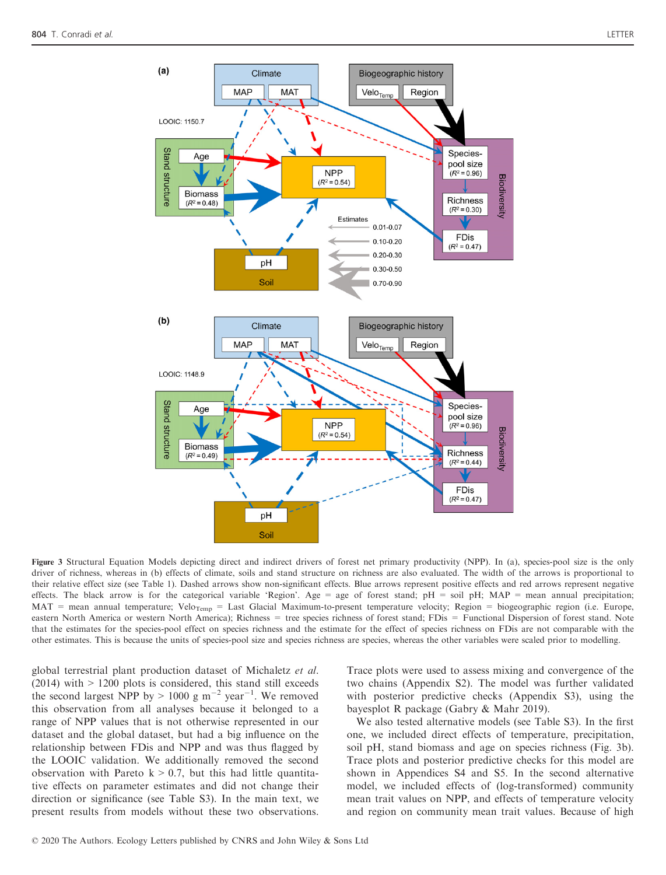

Figure 3 Structural Equation Models depicting direct and indirect drivers of forest net primary productivity (NPP). In (a), species-pool size is the only driver of richness, whereas in (b) effects of climate, soils and stand structure on richness are also evaluated. The width of the arrows is proportional to their relative effect size (see Table 1). Dashed arrows show non-significant effects. Blue arrows represent positive effects and red arrows represent negative effects. The black arrow is for the categorical variable 'Region'. Age = age of forest stand;  $pH =$  soil  $pH$ ;  $MAP =$  mean annual precipitation;  $MAT$  = mean annual temperature; Velo<sub>Temp</sub> = Last Glacial Maximum-to-present temperature velocity; Region = biogeographic region (i.e. Europe, eastern North America or western North America); Richness = tree species richness of forest stand; FDis = Functional Dispersion of forest stand. Note that the estimates for the species-pool effect on species richness and the estimate for the effect of species richness on FDis are not comparable with the other estimates. This is because the units of species-pool size and species richness are species, whereas the other variables were scaled prior to modelling.

global terrestrial plant production dataset of Michaletz et al. (2014) with  $> 1200$  plots is considered, this stand still exceeds the second largest NPP by  $> 1000 \text{ g m}^{-2} \text{ year}^{-1}$ . We removed this observation from all analyses because it belonged to a range of NPP values that is not otherwise represented in our dataset and the global dataset, but had a big influence on the relationship between FDis and NPP and was thus flagged by the LOOIC validation. We additionally removed the second observation with Pareto  $k > 0.7$ , but this had little quantitative effects on parameter estimates and did not change their direction or significance (see Table S3). In the main text, we present results from models without these two observations. Trace plots were used to assess mixing and convergence of the two chains (Appendix S2). The model was further validated with posterior predictive checks (Appendix S3), using the bayesplot R package (Gabry & Mahr 2019).

We also tested alternative models (see Table S3). In the first one, we included direct effects of temperature, precipitation, soil pH, stand biomass and age on species richness (Fig. 3b). Trace plots and posterior predictive checks for this model are shown in Appendices S4 and S5. In the second alternative model, we included effects of (log-transformed) community mean trait values on NPP, and effects of temperature velocity and region on community mean trait values. Because of high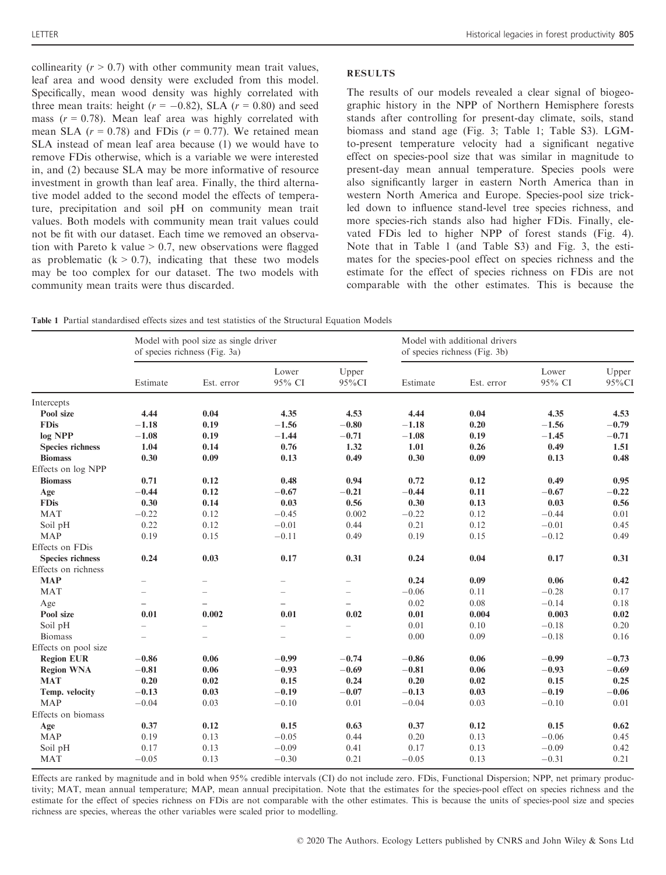collinearity  $(r > 0.7)$  with other community mean trait values, leaf area and wood density were excluded from this model. Specifically, mean wood density was highly correlated with three mean traits: height ( $r = -0.82$ ), SLA ( $r = 0.80$ ) and seed mass  $(r = 0.78)$ . Mean leaf area was highly correlated with mean SLA  $(r = 0.78)$  and FDis  $(r = 0.77)$ . We retained mean SLA instead of mean leaf area because (1) we would have to remove FDis otherwise, which is a variable we were interested in, and (2) because SLA may be more informative of resource investment in growth than leaf area. Finally, the third alternative model added to the second model the effects of temperature, precipitation and soil pH on community mean trait values. Both models with community mean trait values could not be fit with our dataset. Each time we removed an observation with Pareto k value  $> 0.7$ , new observations were flagged as problematic  $(k > 0.7)$ , indicating that these two models may be too complex for our dataset. The two models with community mean traits were thus discarded.

#### **RESULTS**

The results of our models revealed a clear signal of biogeographic history in the NPP of Northern Hemisphere forests stands after controlling for present-day climate, soils, stand biomass and stand age (Fig. 3; Table 1; Table S3). LGMto-present temperature velocity had a significant negative effect on species-pool size that was similar in magnitude to present-day mean annual temperature. Species pools were also significantly larger in eastern North America than in western North America and Europe. Species-pool size trickled down to influence stand-level tree species richness, and more species-rich stands also had higher FDis. Finally, elevated FDis led to higher NPP of forest stands (Fig. 4). Note that in Table 1 (and Table S3) and Fig. 3, the estimates for the species-pool effect on species richness and the estimate for the effect of species richness on FDis are not comparable with the other estimates. This is because the

Table 1 Partial standardised effects sizes and test statistics of the Structural Equation Models

|                         | Model with pool size as single driver<br>of species richness (Fig. 3a) |            |                 |                          | Model with additional drivers<br>of species richness (Fig. 3b) |            |                 |                |
|-------------------------|------------------------------------------------------------------------|------------|-----------------|--------------------------|----------------------------------------------------------------|------------|-----------------|----------------|
|                         | Estimate                                                               | Est. error | Lower<br>95% CI | Upper<br>95%CI           | Estimate                                                       | Est. error | Lower<br>95% CI | Upper<br>95%CI |
| Intercepts              |                                                                        |            |                 |                          |                                                                |            |                 |                |
| Pool size               | 4.44                                                                   | 0.04       | 4.35            | 4.53                     | 4.44                                                           | 0.04       | 4.35            | 4.53           |
| <b>FDis</b>             | $-1.18$                                                                | 0.19       | $-1.56$         | $-0.80$                  | $-1.18$                                                        | 0.20       | $-1.56$         | $-0.79$        |
| log NPP                 | $-1.08$                                                                | 0.19       | $-1.44$         | $-0.71$                  | $-1.08$                                                        | 0.19       | $-1.45$         | $-0.71$        |
| <b>Species richness</b> | 1.04                                                                   | 0.14       | 0.76            | 1.32                     | 1.01                                                           | 0.26       | 0.49            | 1.51           |
| <b>Biomass</b>          | 0.30                                                                   | 0.09       | 0.13            | 0.49                     | 0.30                                                           | 0.09       | 0.13            | 0.48           |
| Effects on log NPP      |                                                                        |            |                 |                          |                                                                |            |                 |                |
| <b>Biomass</b>          | 0.71                                                                   | 0.12       | 0.48            | 0.94                     | 0.72                                                           | 0.12       | 0.49            | 0.95           |
| Age                     | $-0.44$                                                                | 0.12       | $-0.67$         | $-0.21$                  | $-0.44$                                                        | 0.11       | $-0.67$         | $-0.22$        |
| <b>FDis</b>             | 0.30                                                                   | 0.14       | 0.03            | 0.56                     | 0.30                                                           | 0.13       | 0.03            | 0.56           |
| <b>MAT</b>              | $-0.22$                                                                | 0.12       | $-0.45$         | 0.002                    | $-0.22$                                                        | 0.12       | $-0.44$         | 0.01           |
| Soil pH                 | 0.22                                                                   | 0.12       | $-0.01$         | 0.44                     | 0.21                                                           | 0.12       | $-0.01$         | 0.45           |
| <b>MAP</b>              | 0.19                                                                   | 0.15       | $-0.11$         | 0.49                     | 0.19                                                           | 0.15       | $-0.12$         | 0.49           |
| Effects on FDis         |                                                                        |            |                 |                          |                                                                |            |                 |                |
| <b>Species richness</b> | 0.24                                                                   | 0.03       | 0.17            | 0.31                     | 0.24                                                           | 0.04       | 0.17            | 0.31           |
| Effects on richness     |                                                                        |            |                 |                          |                                                                |            |                 |                |
| <b>MAP</b>              |                                                                        |            | $=$             | $\overline{\phantom{0}}$ | 0.24                                                           | 0.09       | 0.06            | 0.42           |
| <b>MAT</b>              |                                                                        |            |                 | $\overline{\phantom{0}}$ | $-0.06$                                                        | 0.11       | $-0.28$         | 0.17           |
| Age                     |                                                                        |            | $-$             | $\overline{\phantom{0}}$ | 0.02                                                           | 0.08       | $-0.14$         | 0.18           |
| Pool size               | 0.01                                                                   | 0.002      | 0.01            | 0.02                     | 0.01                                                           | 0.004      | 0.003           | 0.02           |
| Soil pH                 |                                                                        |            | $\equiv$        | $\equiv$                 | 0.01                                                           | 0.10       | $-0.18$         | 0.20           |
| <b>Biomass</b>          |                                                                        |            |                 |                          | 0.00                                                           | 0.09       | $-0.18$         | 0.16           |
| Effects on pool size    |                                                                        |            |                 |                          |                                                                |            |                 |                |
| <b>Region EUR</b>       | $-0.86$                                                                | 0.06       | $-0.99$         | $-0.74$                  | $-0.86$                                                        | 0.06       | $-0.99$         | $-0.73$        |
| <b>Region WNA</b>       | $-0.81$                                                                | 0.06       | $-0.93$         | $-0.69$                  | $-0.81$                                                        | 0.06       | $-0.93$         | $-0.69$        |
| <b>MAT</b>              | 0.20                                                                   | 0.02       | 0.15            | 0.24                     | 0.20                                                           | 0.02       | 0.15            | 0.25           |
| Temp. velocity          | $-0.13$                                                                | 0.03       | $-0.19$         | $-0.07$                  | $-0.13$                                                        | 0.03       | $-0.19$         | $-0.06$        |
| <b>MAP</b>              | $-0.04$                                                                | 0.03       | $-0.10$         | 0.01                     | $-0.04$                                                        | 0.03       | $-0.10$         | 0.01           |
| Effects on biomass      |                                                                        |            |                 |                          |                                                                |            |                 |                |
| Age                     | 0.37                                                                   | 0.12       | 0.15            | 0.63                     | 0.37                                                           | 0.12       | 0.15            | 0.62           |
| <b>MAP</b>              | 0.19                                                                   | 0.13       | $-0.05$         | 0.44                     | 0.20                                                           | 0.13       | $-0.06$         | 0.45           |
| Soil pH                 | 0.17                                                                   | 0.13       | $-0.09$         | 0.41                     | 0.17                                                           | 0.13       | $-0.09$         | 0.42           |
| <b>MAT</b>              | $-0.05$                                                                | 0.13       | $-0.30$         | 0.21                     | $-0.05$                                                        | 0.13       | $-0.31$         | 0.21           |

Effects are ranked by magnitude and in bold when 95% credible intervals (CI) do not include zero. FDis, Functional Dispersion; NPP, net primary productivity; MAT, mean annual temperature; MAP, mean annual precipitation. Note that the estimates for the species-pool effect on species richness and the estimate for the effect of species richness on FDis are not comparable with the other estimates. This is because the units of species-pool size and species richness are species, whereas the other variables were scaled prior to modelling.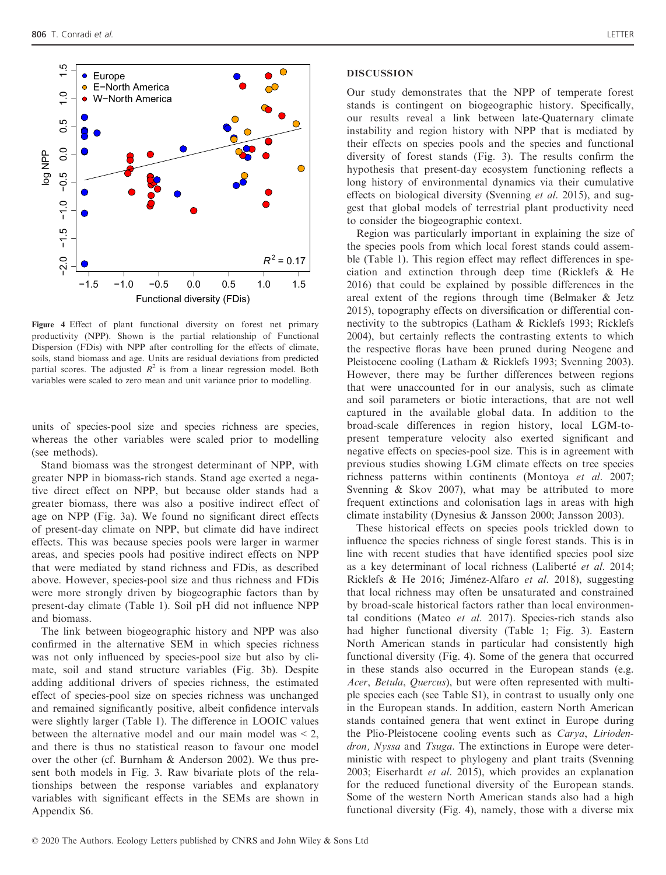

Figure 4 Effect of plant functional diversity on forest net primary productivity (NPP). Shown is the partial relationship of Functional Dispersion (FDis) with NPP after controlling for the effects of climate, soils, stand biomass and age. Units are residual deviations from predicted partial scores. The adjusted  $R^2$  is from a linear regression model. Both variables were scaled to zero mean and unit variance prior to modelling.

units of species-pool size and species richness are species, whereas the other variables were scaled prior to modelling (see methods).

Stand biomass was the strongest determinant of NPP, with greater NPP in biomass-rich stands. Stand age exerted a negative direct effect on NPP, but because older stands had a greater biomass, there was also a positive indirect effect of age on NPP (Fig. 3a). We found no significant direct effects of present-day climate on NPP, but climate did have indirect effects. This was because species pools were larger in warmer areas, and species pools had positive indirect effects on NPP that were mediated by stand richness and FDis, as described above. However, species-pool size and thus richness and FDis were more strongly driven by biogeographic factors than by present-day climate (Table 1). Soil pH did not influence NPP and biomass.

The link between biogeographic history and NPP was also confirmed in the alternative SEM in which species richness was not only influenced by species-pool size but also by climate, soil and stand structure variables (Fig. 3b). Despite adding additional drivers of species richness, the estimated effect of species-pool size on species richness was unchanged and remained significantly positive, albeit confidence intervals were slightly larger (Table 1). The difference in LOOIC values between the alternative model and our main model was < 2, and there is thus no statistical reason to favour one model over the other (cf. Burnham & Anderson 2002). We thus present both models in Fig. 3. Raw bivariate plots of the relationships between the response variables and explanatory variables with significant effects in the SEMs are shown in Appendix S6.

#### DISCUSSION

Our study demonstrates that the NPP of temperate forest stands is contingent on biogeographic history. Specifically, our results reveal a link between late-Quaternary climate instability and region history with NPP that is mediated by their effects on species pools and the species and functional diversity of forest stands (Fig. 3). The results confirm the hypothesis that present-day ecosystem functioning reflects a long history of environmental dynamics via their cumulative effects on biological diversity (Svenning et al. 2015), and suggest that global models of terrestrial plant productivity need to consider the biogeographic context.

Region was particularly important in explaining the size of the species pools from which local forest stands could assemble (Table 1). This region effect may reflect differences in speciation and extinction through deep time (Ricklefs & He 2016) that could be explained by possible differences in the areal extent of the regions through time (Belmaker & Jetz 2015), topography effects on diversification or differential connectivity to the subtropics (Latham & Ricklefs 1993; Ricklefs 2004), but certainly reflects the contrasting extents to which the respective floras have been pruned during Neogene and Pleistocene cooling (Latham & Ricklefs 1993; Svenning 2003). However, there may be further differences between regions that were unaccounted for in our analysis, such as climate and soil parameters or biotic interactions, that are not well captured in the available global data. In addition to the broad-scale differences in region history, local LGM-topresent temperature velocity also exerted significant and negative effects on species-pool size. This is in agreement with previous studies showing LGM climate effects on tree species richness patterns within continents (Montoya et al. 2007; Svenning & Skov 2007), what may be attributed to more frequent extinctions and colonisation lags in areas with high climate instability (Dynesius & Jansson 2000; Jansson 2003).

These historical effects on species pools trickled down to influence the species richness of single forest stands. This is in line with recent studies that have identified species pool size as a key determinant of local richness (Laliberté et al. 2014; Ricklefs & He 2016; Jimenez-Alfaro et al. 2018), suggesting that local richness may often be unsaturated and constrained by broad-scale historical factors rather than local environmental conditions (Mateo et al. 2017). Species-rich stands also had higher functional diversity (Table 1; Fig. 3). Eastern North American stands in particular had consistently high functional diversity (Fig. 4). Some of the genera that occurred in these stands also occurred in the European stands (e.g. Acer, Betula, Quercus), but were often represented with multiple species each (see Table S1), in contrast to usually only one in the European stands. In addition, eastern North American stands contained genera that went extinct in Europe during the Plio-Pleistocene cooling events such as Carya, Liriodendron, Nyssa and Tsuga. The extinctions in Europe were deterministic with respect to phylogeny and plant traits (Svenning 2003; Eiserhardt et al. 2015), which provides an explanation for the reduced functional diversity of the European stands. Some of the western North American stands also had a high functional diversity (Fig. 4), namely, those with a diverse mix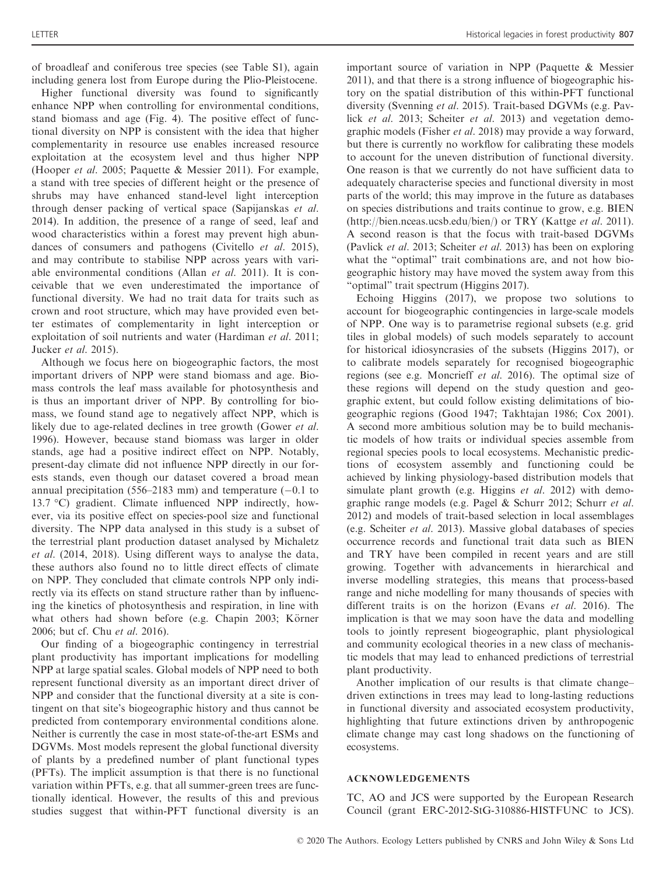of broadleaf and coniferous tree species (see Table S1), again including genera lost from Europe during the Plio-Pleistocene.

Higher functional diversity was found to significantly enhance NPP when controlling for environmental conditions, stand biomass and age (Fig. 4). The positive effect of functional diversity on NPP is consistent with the idea that higher complementarity in resource use enables increased resource exploitation at the ecosystem level and thus higher NPP (Hooper et al. 2005; Paquette & Messier 2011). For example, a stand with tree species of different height or the presence of shrubs may have enhanced stand-level light interception through denser packing of vertical space (Sapijanskas et al. 2014). In addition, the presence of a range of seed, leaf and wood characteristics within a forest may prevent high abundances of consumers and pathogens (Civitello et al. 2015), and may contribute to stabilise NPP across years with variable environmental conditions (Allan et al. 2011). It is conceivable that we even underestimated the importance of functional diversity. We had no trait data for traits such as crown and root structure, which may have provided even better estimates of complementarity in light interception or exploitation of soil nutrients and water (Hardiman et al. 2011; Jucker et al. 2015).

Although we focus here on biogeographic factors, the most important drivers of NPP were stand biomass and age. Biomass controls the leaf mass available for photosynthesis and is thus an important driver of NPP. By controlling for biomass, we found stand age to negatively affect NPP, which is likely due to age-related declines in tree growth (Gower et al. 1996). However, because stand biomass was larger in older stands, age had a positive indirect effect on NPP. Notably, present-day climate did not influence NPP directly in our forests stands, even though our dataset covered a broad mean annual precipitation (556–2183 mm) and temperature  $(-0.1 \text{ to}$ 13.7 °C) gradient. Climate influenced NPP indirectly, however, via its positive effect on species-pool size and functional diversity. The NPP data analysed in this study is a subset of the terrestrial plant production dataset analysed by Michaletz et al. (2014, 2018). Using different ways to analyse the data, these authors also found no to little direct effects of climate on NPP. They concluded that climate controls NPP only indirectly via its effects on stand structure rather than by influencing the kinetics of photosynthesis and respiration, in line with what others had shown before (e.g. Chapin 2003; Körner 2006; but cf. Chu et al. 2016).

Our finding of a biogeographic contingency in terrestrial plant productivity has important implications for modelling NPP at large spatial scales. Global models of NPP need to both represent functional diversity as an important direct driver of NPP and consider that the functional diversity at a site is contingent on that site's biogeographic history and thus cannot be predicted from contemporary environmental conditions alone. Neither is currently the case in most state-of-the-art ESMs and DGVMs. Most models represent the global functional diversity of plants by a predefined number of plant functional types (PFTs). The implicit assumption is that there is no functional variation within PFTs, e.g. that all summer-green trees are functionally identical. However, the results of this and previous studies suggest that within-PFT functional diversity is an

important source of variation in NPP (Paquette & Messier 2011), and that there is a strong influence of biogeographic history on the spatial distribution of this within-PFT functional diversity (Svenning et al. 2015). Trait-based DGVMs (e.g. Pavlick et al. 2013; Scheiter et al. 2013) and vegetation demographic models (Fisher et al. 2018) may provide a way forward, but there is currently no workflow for calibrating these models to account for the uneven distribution of functional diversity. One reason is that we currently do not have sufficient data to adequately characterise species and functional diversity in most parts of the world; this may improve in the future as databases on species distributions and traits continue to grow, e.g. BIEN [\(http://bien.nceas.ucsb.edu/bien/\)](http://bien.nceas.ucsb.edu/bien/) or TRY (Kattge *et al.* 2011). A second reason is that the focus with trait-based DGVMs (Pavlick et al. 2013; Scheiter et al. 2013) has been on exploring what the "optimal" trait combinations are, and not how biogeographic history may have moved the system away from this "optimal" trait spectrum (Higgins 2017).

Echoing Higgins (2017), we propose two solutions to account for biogeographic contingencies in large-scale models of NPP. One way is to parametrise regional subsets (e.g. grid tiles in global models) of such models separately to account for historical idiosyncrasies of the subsets (Higgins 2017), or to calibrate models separately for recognised biogeographic regions (see e.g. Moncrieff et al. 2016). The optimal size of these regions will depend on the study question and geographic extent, but could follow existing delimitations of biogeographic regions (Good 1947; Takhtajan 1986; Cox 2001). A second more ambitious solution may be to build mechanistic models of how traits or individual species assemble from regional species pools to local ecosystems. Mechanistic predictions of ecosystem assembly and functioning could be achieved by linking physiology-based distribution models that simulate plant growth (e.g. Higgins et al. 2012) with demographic range models (e.g. Pagel & Schurr 2012; Schurr et al. 2012) and models of trait-based selection in local assemblages (e.g. Scheiter et al. 2013). Massive global databases of species occurrence records and functional trait data such as BIEN and TRY have been compiled in recent years and are still growing. Together with advancements in hierarchical and inverse modelling strategies, this means that process-based range and niche modelling for many thousands of species with different traits is on the horizon (Evans et al. 2016). The implication is that we may soon have the data and modelling tools to jointly represent biogeographic, plant physiological and community ecological theories in a new class of mechanistic models that may lead to enhanced predictions of terrestrial plant productivity.

Another implication of our results is that climate change– driven extinctions in trees may lead to long-lasting reductions in functional diversity and associated ecosystem productivity, highlighting that future extinctions driven by anthropogenic climate change may cast long shadows on the functioning of ecosystems.

#### ACKNOWLEDGEMENTS

TC, AO and JCS were supported by the European Research Council (grant ERC-2012-StG-310886-HISTFUNC to JCS).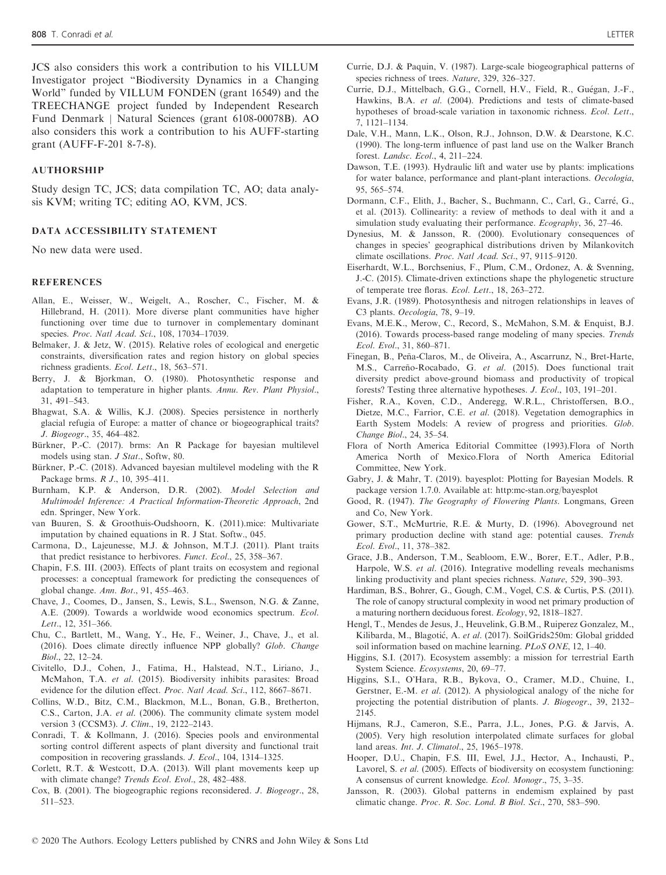JCS also considers this work a contribution to his VILLUM Investigator project "Biodiversity Dynamics in a Changing World" funded by VILLUM FONDEN (grant 16549) and the TREECHANGE project funded by Independent Research Fund Denmark | Natural Sciences (grant 6108-00078B). AO also considers this work a contribution to his AUFF-starting grant (AUFF-F-201 8-7-8).

#### AUTHORSHIP

Study design TC, JCS; data compilation TC, AO; data analysis KVM; writing TC; editing AO, KVM, JCS.

#### DATA ACCESSIBILITY STATEMENT

No new data were used.

#### **REFERENCES**

- Allan, E., Weisser, W., Weigelt, A., Roscher, C., Fischer, M. & Hillebrand, H. (2011). More diverse plant communities have higher functioning over time due to turnover in complementary dominant species. Proc. Natl Acad. Sci., 108, 17034–17039.
- Belmaker, J. & Jetz, W. (2015). Relative roles of ecological and energetic constraints, diversification rates and region history on global species richness gradients. Ecol. Lett., 18, 563–571.
- Berry, J. & Bjorkman, O. (1980). Photosynthetic response and adaptation to temperature in higher plants. Annu. Rev. Plant Physiol., 31, 491–543.
- Bhagwat, S.A. & Willis, K.J. (2008). Species persistence in northerly glacial refugia of Europe: a matter of chance or biogeographical traits? J. Biogeogr., 35, 464–482.
- Bürkner, P.-C. (2017). brms: An R Package for bayesian multilevel models using stan. *J Stat.*, Softw, 80.
- Bürkner, P.-C. (2018). Advanced bayesian multilevel modeling with the R Package brms. R J., 10, 395–411.
- Burnham, K.P. & Anderson, D.R. (2002). Model Selection and Multimodel Inference: A Practical Information-Theoretic Approach, 2nd edn. Springer, New York.
- van Buuren, S. & Groothuis-Oudshoorn, K. (2011).mice: Multivariate imputation by chained equations in R. J Stat. Softw., 045.
- Carmona, D., Lajeunesse, M.J. & Johnson, M.T.J. (2011). Plant traits that predict resistance to herbivores. Funct. Ecol., 25, 358–367.
- Chapin, F.S. III. (2003). Effects of plant traits on ecosystem and regional processes: a conceptual framework for predicting the consequences of global change. Ann. Bot., 91, 455–463.
- Chave, J., Coomes, D., Jansen, S., Lewis, S.L., Swenson, N.G. & Zanne, A.E. (2009). Towards a worldwide wood economics spectrum. Ecol. Lett., 12, 351–366.
- Chu, C., Bartlett, M., Wang, Y., He, F., Weiner, J., Chave, J., et al. (2016). Does climate directly influence NPP globally? Glob. Change Biol., 22, 12–24.
- Civitello, D.J., Cohen, J., Fatima, H., Halstead, N.T., Liriano, J., McMahon, T.A. et al. (2015). Biodiversity inhibits parasites: Broad evidence for the dilution effect. Proc. Natl Acad. Sci., 112, 8667-8671.
- Collins, W.D., Bitz, C.M., Blackmon, M.L., Bonan, G.B., Bretherton, C.S., Carton, J.A. et al. (2006). The community climate system model version 3 (CCSM3). J. Clim., 19, 2122–2143.
- Conradi, T. & Kollmann, J. (2016). Species pools and environmental sorting control different aspects of plant diversity and functional trait composition in recovering grasslands. J. Ecol., 104, 1314–1325.
- Corlett, R.T. & Westcott, D.A. (2013). Will plant movements keep up with climate change? Trends Ecol. Evol., 28, 482–488.
- Cox, B. (2001). The biogeographic regions reconsidered. J. Biogeogr., 28, 511–523.
- Currie, D.J. & Paquin, V. (1987). Large-scale biogeographical patterns of species richness of trees. Nature, 329, 326–327.
- Currie, D.J., Mittelbach, G.G., Cornell, H.V., Field, R., Guégan, J.-F., Hawkins, B.A. et al. (2004). Predictions and tests of climate-based hypotheses of broad-scale variation in taxonomic richness. Ecol. Lett., 7, 1121–1134.
- Dale, V.H., Mann, L.K., Olson, R.J., Johnson, D.W. & Dearstone, K.C. (1990). The long-term influence of past land use on the Walker Branch forest. Landsc. Ecol., 4, 211–224.
- Dawson, T.E. (1993). Hydraulic lift and water use by plants: implications for water balance, performance and plant-plant interactions. Oecologia, 95, 565–574.
- Dormann, C.F., Elith, J., Bacher, S., Buchmann, C., Carl, G., Carre, G., et al. (2013). Collinearity: a review of methods to deal with it and a simulation study evaluating their performance. Ecography, 36, 27–46.
- Dynesius, M. & Jansson, R. (2000). Evolutionary consequences of changes in species' geographical distributions driven by Milankovitch climate oscillations. Proc. Natl Acad. Sci., 97, 9115–9120.
- Eiserhardt, W.L., Borchsenius, F., Plum, C.M., Ordonez, A. & Svenning, J.-C. (2015). Climate-driven extinctions shape the phylogenetic structure of temperate tree floras. Ecol. Lett., 18, 263–272.
- Evans, J.R. (1989). Photosynthesis and nitrogen relationships in leaves of C3 plants. Oecologia, 78, 9–19.
- Evans, M.E.K., Merow, C., Record, S., McMahon, S.M. & Enquist, B.J. (2016). Towards process-based range modeling of many species. Trends Ecol. Evol., 31, 860–871.
- Finegan, B., Pena-Claros, M., de Oliveira, A., Ascarrunz, N., Bret-Harte, ~ M.S., Carreño-Rocabado, G. et al. (2015). Does functional trait diversity predict above-ground biomass and productivity of tropical forests? Testing three alternative hypotheses. J. Ecol., 103, 191–201.
- Fisher, R.A., Koven, C.D., Anderegg, W.R.L., Christoffersen, B.O., Dietze, M.C., Farrior, C.E. et al. (2018). Vegetation demographics in Earth System Models: A review of progress and priorities. Glob. Change Biol., 24, 35–54.
- Flora of North America Editorial Committee (1993).Flora of North America North of Mexico.Flora of North America Editorial Committee, New York.
- Gabry, J. & Mahr, T. (2019). bayesplot: Plotting for Bayesian Models. R package version 1.7.0. Available at: [http:mc-stan.org/bayesplot](http:mc‐stan.org/bayesplot)
- Good, R. (1947). The Geography of Flowering Plants. Longmans, Green and Co, New York.
- Gower, S.T., McMurtrie, R.E. & Murty, D. (1996). Aboveground net primary production decline with stand age: potential causes. Trends Ecol. Evol., 11, 378–382.
- Grace, J.B., Anderson, T.M., Seabloom, E.W., Borer, E.T., Adler, P.B., Harpole, W.S. et al. (2016). Integrative modelling reveals mechanisms linking productivity and plant species richness. Nature, 529, 390–393.
- Hardiman, B.S., Bohrer, G., Gough, C.M., Vogel, C.S. & Curtis, P.S. (2011). The role of canopy structural complexity in wood net primary production of a maturing northern deciduous forest. Ecology, 92, 1818–1827.
- Hengl, T., Mendes de Jesus, J., Heuvelink, G.B.M., Ruiperez Gonzalez, M., Kilibarda, M., Blagotić, A. et al. (2017). SoilGrids250m: Global gridded soil information based on machine learning. PLoS ONE, 12, 1–40.
- Higgins, S.I. (2017). Ecosystem assembly: a mission for terrestrial Earth System Science. Ecosystems, 20, 69–77.
- Higgins, S.I., O'Hara, R.B., Bykova, O., Cramer, M.D., Chuine, I., Gerstner, E.-M. et al. (2012). A physiological analogy of the niche for projecting the potential distribution of plants. J. Biogeogr., 39, 2132– 2145.
- Hijmans, R.J., Cameron, S.E., Parra, J.L., Jones, P.G. & Jarvis, A. (2005). Very high resolution interpolated climate surfaces for global land areas. Int. J. Climatol., 25, 1965–1978.
- Hooper, D.U., Chapin, F.S. III, Ewel, J.J., Hector, A., Inchausti, P., Lavorel, S. et al. (2005). Effects of biodiversity on ecosystem functioning: A consensus of current knowledge. Ecol. Monogr., 75, 3–35.
- Jansson, R. (2003). Global patterns in endemism explained by past climatic change. Proc. R. Soc. Lond. B Biol. Sci., 270, 583–590.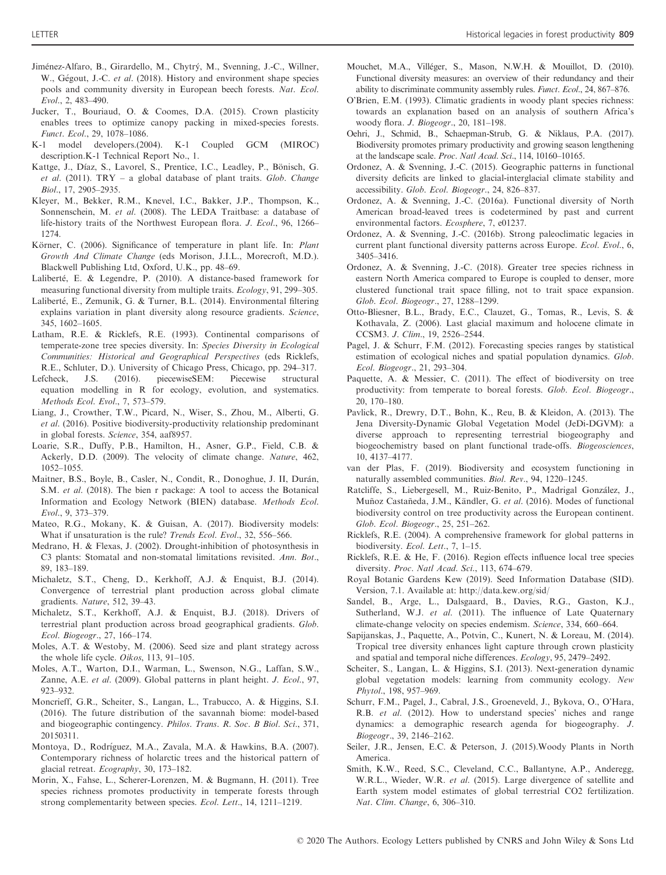- Jimenez-Alfaro, B., Girardello, M., Chytry, M., Svenning, J.-C., Willner, W., Gégout, J.-C. et al. (2018). History and environment shape species pools and community diversity in European beech forests. Nat. Ecol. Evol., 2, 483–490.
- Jucker, T., Bouriaud, O. & Coomes, D.A. (2015). Crown plasticity enables trees to optimize canopy packing in mixed-species forests. Funct. Ecol., 29, 1078–1086.
- K-1 model developers.(2004). K-1 Coupled GCM (MIROC) description.K-1 Technical Report No., 1.
- Kattge, J., Díaz, S., Lavorel, S., Prentice, I.C., Leadley, P., Bönisch, G. et al. (2011).  $TRY - a$  global database of plant traits. Glob. Change Biol., 17, 2905–2935.
- Kleyer, M., Bekker, R.M., Knevel, I.C., Bakker, J.P., Thompson, K., Sonnenschein, M. et al. (2008). The LEDA Traitbase: a database of life-history traits of the Northwest European flora. J. Ecol., 96, 1266– 1274.
- Körner, C. (2006). Significance of temperature in plant life. In: Plant Growth And Climate Change (eds Morison, J.I.L., Morecroft, M.D.). Blackwell Publishing Ltd, Oxford, U.K., pp. 48–69.
- Laliberté, E. & Legendre, P. (2010). A distance-based framework for measuring functional diversity from multiple traits. Ecology, 91, 299–305.
- Laliberte, E., Zemunik, G. & Turner, B.L. (2014). Environmental filtering explains variation in plant diversity along resource gradients. Science, 345, 1602–1605.
- Latham, R.E. & Ricklefs, R.E. (1993). Continental comparisons of temperate-zone tree species diversity. In: Species Diversity in Ecological Communities: Historical and Geographical Perspectives (eds Ricklefs, R.E., Schluter, D.). University of Chicago Press, Chicago, pp. 294–317.
- Lefcheck, J.S. (2016). piecewiseSEM: Piecewise structural equation modelling in R for ecology, evolution, and systematics. Methods Ecol. Evol., 7, 573–579.
- Liang, J., Crowther, T.W., Picard, N., Wiser, S., Zhou, M., Alberti, G. et al. (2016). Positive biodiversity-productivity relationship predominant in global forests. Science, 354, aaf8957.
- Loarie, S.R., Duffy, P.B., Hamilton, H., Asner, G.P., Field, C.B. & Ackerly, D.D. (2009). The velocity of climate change. Nature, 462, 1052–1055.
- Maitner, B.S., Boyle, B., Casler, N., Condit, R., Donoghue, J. II, Durán, S.M. et al. (2018). The bien r package: A tool to access the Botanical Information and Ecology Network (BIEN) database. Methods Ecol. Evol., 9, 373–379.
- Mateo, R.G., Mokany, K. & Guisan, A. (2017). Biodiversity models: What if unsaturation is the rule? Trends Ecol. Evol., 32, 556-566.
- Medrano, H. & Flexas, J. (2002). Drought-inhibition of photosynthesis in C3 plants: Stomatal and non-stomatal limitations revisited. Ann. Bot., 89, 183–189.
- Michaletz, S.T., Cheng, D., Kerkhoff, A.J. & Enquist, B.J. (2014). Convergence of terrestrial plant production across global climate gradients. Nature, 512, 39–43.
- Michaletz, S.T., Kerkhoff, A.J. & Enquist, B.J. (2018). Drivers of terrestrial plant production across broad geographical gradients. Glob. Ecol. Biogeogr., 27, 166–174.
- Moles, A.T. & Westoby, M. (2006). Seed size and plant strategy across the whole life cycle. Oikos, 113, 91–105.
- Moles, A.T., Warton, D.I., Warman, L., Swenson, N.G., Laffan, S.W., Zanne, A.E. et al. (2009). Global patterns in plant height. J. Ecol., 97, 923–932.
- Moncrieff, G.R., Scheiter, S., Langan, L., Trabucco, A. & Higgins, S.I. (2016). The future distribution of the savannah biome: model-based and biogeographic contingency. Philos. Trans. R. Soc. B Biol. Sci., 371, 20150311.
- Montoya, D., Rodrıguez, M.A., Zavala, M.A. & Hawkins, B.A. (2007). Contemporary richness of holarctic trees and the historical pattern of glacial retreat. Ecography, 30, 173–182.
- Morin, X., Fahse, L., Scherer-Lorenzen, M. & Bugmann, H. (2011). Tree species richness promotes productivity in temperate forests through strong complementarity between species. Ecol. Lett., 14, 1211–1219.
- Mouchet, M.A., Villeger, S., Mason, N.W.H. & Mouillot, D. (2010). Functional diversity measures: an overview of their redundancy and their ability to discriminate community assembly rules. Funct. Ecol., 24, 867–876.
- O'Brien, E.M. (1993). Climatic gradients in woody plant species richness: towards an explanation based on an analysis of southern Africa's woody flora. J. Biogeogr., 20, 181–198.
- Oehri, J., Schmid, B., Schaepman-Strub, G. & Niklaus, P.A. (2017). Biodiversity promotes primary productivity and growing season lengthening at the landscape scale. Proc. Natl Acad. Sci., 114, 10160–10165.
- Ordonez, A. & Svenning, J.-C. (2015). Geographic patterns in functional diversity deficits are linked to glacial-interglacial climate stability and accessibility. Glob. Ecol. Biogeogr., 24, 826–837.
- Ordonez, A. & Svenning, J.-C. (2016a). Functional diversity of North American broad-leaved trees is codetermined by past and current environmental factors. Ecosphere, 7, e01237.
- Ordonez, A. & Svenning, J.-C. (2016b). Strong paleoclimatic legacies in current plant functional diversity patterns across Europe. Ecol. Evol., 6, 3405–3416.
- Ordonez, A. & Svenning, J.-C. (2018). Greater tree species richness in eastern North America compared to Europe is coupled to denser, more clustered functional trait space filling, not to trait space expansion. Glob. Ecol. Biogeogr., 27, 1288–1299.
- Otto-Bliesner, B.L., Brady, E.C., Clauzet, G., Tomas, R., Levis, S. & Kothavala, Z. (2006). Last glacial maximum and holocene climate in CCSM3. J. Clim., 19, 2526–2544.
- Pagel, J. & Schurr, F.M. (2012). Forecasting species ranges by statistical estimation of ecological niches and spatial population dynamics. Glob. Ecol. Biogeogr., 21, 293–304.
- Paquette, A. & Messier, C. (2011). The effect of biodiversity on tree productivity: from temperate to boreal forests. Glob. Ecol. Biogeogr., 20, 170–180.
- Pavlick, R., Drewry, D.T., Bohn, K., Reu, B. & Kleidon, A. (2013). The Jena Diversity-Dynamic Global Vegetation Model (JeDi-DGVM): a diverse approach to representing terrestrial biogeography and biogeochemistry based on plant functional trade-offs. Biogeosciences, 10, 4137–4177.
- van der Plas, F. (2019). Biodiversity and ecosystem functioning in naturally assembled communities. Biol. Rev., 94, 1220–1245.
- Ratcliffe, S., Liebergesell, M., Ruiz-Benito, P., Madrigal Gonzalez, J., Muñoz Castañeda, J.M., Kändler, G. et al. (2016). Modes of functional biodiversity control on tree productivity across the European continent. Glob. Ecol. Biogeogr., 25, 251–262.
- Ricklefs, R.E. (2004). A comprehensive framework for global patterns in biodiversity. Ecol. Lett., 7, 1-15.
- Ricklefs, R.E. & He, F. (2016). Region effects influence local tree species diversity. Proc. Natl Acad. Sci., 113, 674–679.
- Royal Botanic Gardens Kew (2019). Seed Information Database (SID). Version, 7.1. Available at:<http://data.kew.org/sid/>
- Sandel, B., Arge, L., Dalsgaard, B., Davies, R.G., Gaston, K.J., Sutherland, W.J. et al. (2011). The influence of Late Quaternary climate-change velocity on species endemism. Science, 334, 660–664.
- Sapijanskas, J., Paquette, A., Potvin, C., Kunert, N. & Loreau, M. (2014). Tropical tree diversity enhances light capture through crown plasticity and spatial and temporal niche differences. Ecology, 95, 2479–2492.
- Scheiter, S., Langan, L. & Higgins, S.I. (2013). Next-generation dynamic global vegetation models: learning from community ecology. New Phytol., 198, 957–969.
- Schurr, F.M., Pagel, J., Cabral, J.S., Groeneveld, J., Bykova, O., O'Hara, R.B. et al. (2012). How to understand species' niches and range dynamics: a demographic research agenda for biogeography. J. Biogeogr., 39, 2146–2162.
- Seiler, J.R., Jensen, E.C. & Peterson, J. (2015).Woody Plants in North America.
- Smith, K.W., Reed, S.C., Cleveland, C.C., Ballantyne, A.P., Anderegg, W.R.L., Wieder, W.R. et al. (2015). Large divergence of satellite and Earth system model estimates of global terrestrial CO2 fertilization. Nat. Clim. Change, 6, 306–310.